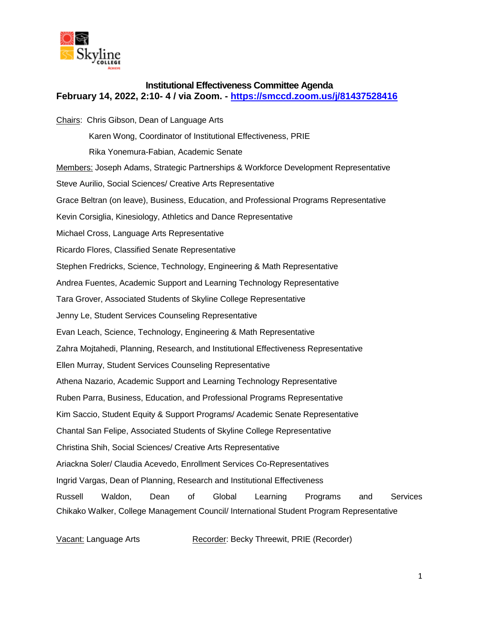

## **Institutional Effectiveness Committee Agenda February 14, 2022, 2:10- 4 / via Zoom. - <https://smccd.zoom.us/j/81437528416>**

Chairs: Chris Gibson, Dean of Language Arts Karen Wong, Coordinator of Institutional Effectiveness, PRIE Rika Yonemura-Fabian, Academic Senate Members: Joseph Adams, Strategic Partnerships & Workforce Development Representative Steve Aurilio, Social Sciences/ Creative Arts Representative Grace Beltran (on leave), Business, Education, and Professional Programs Representative Kevin Corsiglia, Kinesiology, Athletics and Dance Representative Michael Cross, Language Arts Representative Ricardo Flores, Classified Senate Representative Stephen Fredricks, Science, Technology, Engineering & Math Representative Andrea Fuentes, Academic Support and Learning Technology Representative Tara Grover, Associated Students of Skyline College Representative Jenny Le, Student Services Counseling Representative Evan Leach, Science, Technology, Engineering & Math Representative Zahra Mojtahedi, Planning, Research, and Institutional Effectiveness Representative Ellen Murray, Student Services Counseling Representative Athena Nazario, Academic Support and Learning Technology Representative Ruben Parra, Business, Education, and Professional Programs Representative Kim Saccio, Student Equity & Support Programs/ Academic Senate Representative Chantal San Felipe, Associated Students of Skyline College Representative Christina Shih, Social Sciences/ Creative Arts Representative Ariackna Soler/ Claudia Acevedo, Enrollment Services Co-Representatives Ingrid Vargas, Dean of Planning, Research and Institutional Effectiveness Russell Waldon, Dean of Global Learning Programs and Services Chikako Walker, College Management Council/ International Student Program Representative

Vacant: Language Arts Recorder: Becky Threewit, PRIE (Recorder)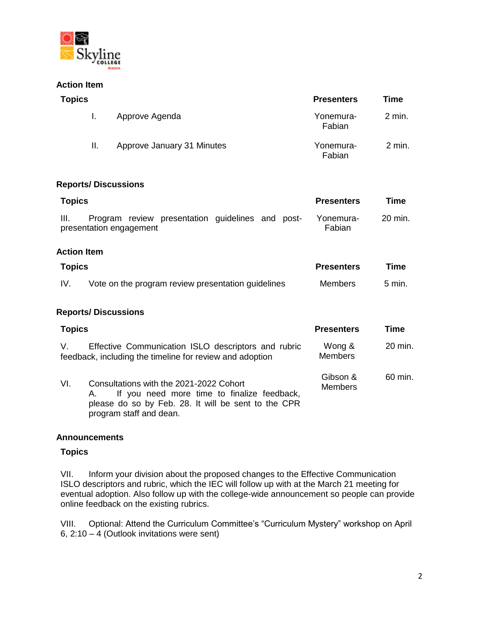

### **Action Item**

| <b>Topics</b>                                                                                                         |                                                    | <b>Presenters</b>        | <b>Time</b> |
|-----------------------------------------------------------------------------------------------------------------------|----------------------------------------------------|--------------------------|-------------|
| I.                                                                                                                    | Approve Agenda                                     | Yonemura-<br>Fabian      | 2 min.      |
| Ш.                                                                                                                    | Approve January 31 Minutes                         | Yonemura-<br>Fabian      | 2 min.      |
| <b>Reports/Discussions</b>                                                                                            |                                                    |                          |             |
| <b>Topics</b>                                                                                                         |                                                    | <b>Presenters</b>        | Time        |
| Program review presentation guidelines and post-<br>III.<br>presentation engagement                                   |                                                    | Yonemura-<br>Fabian      | 20 min.     |
| <b>Action Item</b>                                                                                                    |                                                    |                          |             |
| <b>Topics</b>                                                                                                         |                                                    | <b>Presenters</b>        | Time        |
| IV.                                                                                                                   | Vote on the program review presentation guidelines |                          | 5 min.      |
| <b>Reports/Discussions</b>                                                                                            |                                                    |                          |             |
| <b>Topics</b>                                                                                                         |                                                    | <b>Presenters</b>        | Time        |
| Effective Communication ISLO descriptors and rubric<br>V.<br>feedback, including the timeline for review and adoption |                                                    | Wong &<br><b>Members</b> | 20 min.     |

#### VI. Consultations with the 2021-2022 Cohort A. If you need more time to finalize feedback, please do so by Feb. 28. It will be sent to the CPR program staff and dean. Gibson & **Members** 60 min.

#### **Announcements**

#### **Topics**

VII. Inform your division about the proposed changes to the Effective Communication ISLO descriptors and rubric, which the IEC will follow up with at the March 21 meeting for eventual adoption. Also follow up with the college-wide announcement so people can provide online feedback on the existing rubrics.

VIII. Optional: Attend the Curriculum Committee's "Curriculum Mystery" workshop on April 6, 2:10 – 4 (Outlook invitations were sent)